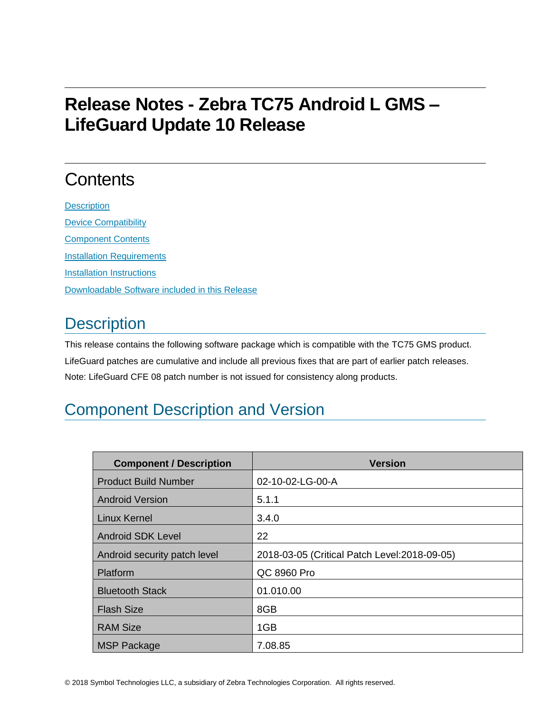# **Release Notes - Zebra TC75 Android L GMS – LifeGuard Update 10 Release**

# **Contents**

**[Description](#page-0-0)** [Device Compatibility](#page-6-0) [Component Contents](#page-6-1) [Installation Requirements](#page-6-2) [Installation Instructions](#page-6-3) [Downloadable Software included in this Release](#page-7-0)

### <span id="page-0-0"></span>**Description**

This release contains the following software package which is compatible with the TC75 GMS product. LifeGuard patches are cumulative and include all previous fixes that are part of earlier patch releases. Note: LifeGuard CFE 08 patch number is not issued for consistency along products.

## Component Description and Version

| <b>Component / Description</b> | <b>Version</b>                                |
|--------------------------------|-----------------------------------------------|
| <b>Product Build Number</b>    | 02-10-02-LG-00-A                              |
| <b>Android Version</b>         | 5.1.1                                         |
| <b>Linux Kernel</b>            | 3.4.0                                         |
| <b>Android SDK Level</b>       | 22                                            |
| Android security patch level   | 2018-03-05 (Critical Patch Level: 2018-09-05) |
| Platform                       | QC 8960 Pro                                   |
| <b>Bluetooth Stack</b>         | 01.010.00                                     |
| <b>Flash Size</b>              | 8GB                                           |
| <b>RAM Size</b>                | 1GB                                           |
| <b>MSP Package</b>             | 7.08.85                                       |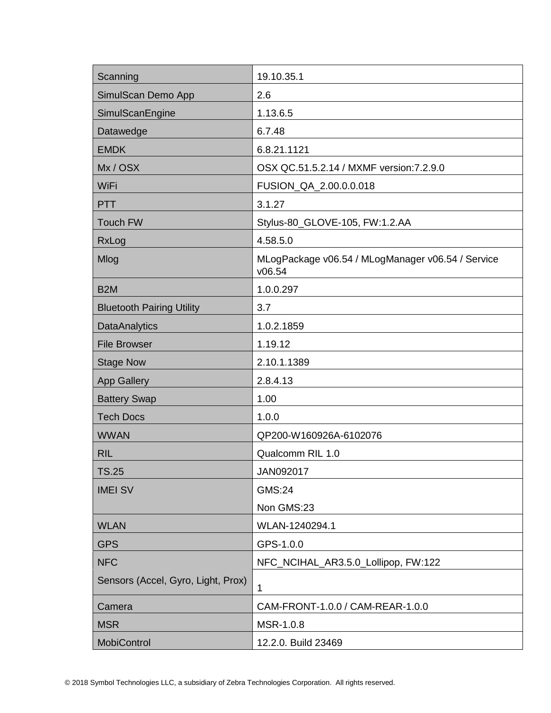| Scanning                           | 19.10.35.1                                                  |
|------------------------------------|-------------------------------------------------------------|
| SimulScan Demo App                 | 2.6                                                         |
| SimulScanEngine                    | 1.13.6.5                                                    |
| Datawedge                          | 6.7.48                                                      |
| <b>EMDK</b>                        | 6.8.21.1121                                                 |
| Mx/OSX                             | OSX QC.51.5.2.14 / MXMF version: 7.2.9.0                    |
| WiFi                               | FUSION_QA_2.00.0.0.018                                      |
| <b>PTT</b>                         | 3.1.27                                                      |
| <b>Touch FW</b>                    | Stylus-80_GLOVE-105, FW:1.2.AA                              |
| RxLog                              | 4.58.5.0                                                    |
| Mlog                               | MLogPackage v06.54 / MLogManager v06.54 / Service<br>v06.54 |
| B <sub>2</sub> M                   | 1.0.0.297                                                   |
| <b>Bluetooth Pairing Utility</b>   | 3.7                                                         |
| <b>DataAnalytics</b>               | 1.0.2.1859                                                  |
| <b>File Browser</b>                | 1.19.12                                                     |
| <b>Stage Now</b>                   | 2.10.1.1389                                                 |
| <b>App Gallery</b>                 | 2.8.4.13                                                    |
| <b>Battery Swap</b>                | 1.00                                                        |
| <b>Tech Docs</b>                   | 1.0.0                                                       |
| <b>WWAN</b>                        | QP200-W160926A-6102076                                      |
| <b>RIL</b>                         | Qualcomm RIL 1.0                                            |
| TS.25                              | JAN092017                                                   |
| <b>IMEI SV</b>                     | <b>GMS:24</b>                                               |
|                                    | Non GMS:23                                                  |
| <b>WLAN</b>                        | WLAN-1240294.1                                              |
| <b>GPS</b>                         | GPS-1.0.0                                                   |
| <b>NFC</b>                         | NFC_NCIHAL_AR3.5.0_Lollipop, FW:122                         |
| Sensors (Accel, Gyro, Light, Prox) | 1                                                           |
| Camera                             | CAM-FRONT-1.0.0 / CAM-REAR-1.0.0                            |
| <b>MSR</b>                         | MSR-1.0.8                                                   |
| <b>MobiControl</b>                 | 12.2.0. Build 23469                                         |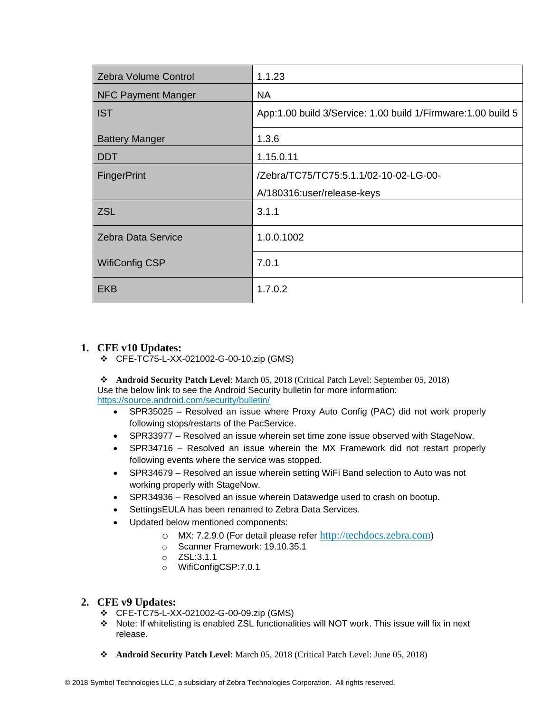| <b>Zebra Volume Control</b> | 1.1.23                                                       |
|-----------------------------|--------------------------------------------------------------|
| <b>NFC Payment Manger</b>   | <b>NA</b>                                                    |
| <b>IST</b>                  | App:1.00 build 3/Service: 1.00 build 1/Firmware:1.00 build 5 |
| <b>Battery Manger</b>       | 1.3.6                                                        |
| <b>DDT</b>                  | 1.15.0.11                                                    |
| <b>FingerPrint</b>          | /Zebra/TC75/TC75:5.1.1/02-10-02-LG-00-                       |
|                             | A/180316:user/release-keys                                   |
| <b>ZSL</b>                  | 3.1.1                                                        |
| <b>Zebra Data Service</b>   | 1.0.0.1002                                                   |
| <b>WifiConfig CSP</b>       | 7.0.1                                                        |
| <b>EKB</b>                  | 1.7.0.2                                                      |

#### **1. CFE v10 Updates:**

❖ CFE-TC75-L-XX-021002-G-00-10.zip (GMS)

❖ **Android Security Patch Level**: March 05, 2018 (Critical Patch Level: September 05, 2018) Use the below link to see the Android Security bulletin for more information: <https://source.android.com/security/bulletin/>

- SPR35025 Resolved an issue where Proxy Auto Config (PAC) did not work properly following stops/restarts of the PacService.
- SPR33977 Resolved an issue wherein set time zone issue observed with StageNow.
- SPR34716 Resolved an issue wherein the MX Framework did not restart properly following events where the service was stopped.
- SPR34679 Resolved an issue wherein setting WiFi Band selection to Auto was not working properly with StageNow.
- SPR34936 Resolved an issue wherein Datawedge used to crash on bootup.
- SettingsEULA has been renamed to Zebra Data Services.
- Updated below mentioned components:
	- o MX: 7.2.9.0 (For detail please refer [http://techdocs.zebra.com](http://techdocs.zebra.com/))
	- o Scanner Framework: 19.10.35.1
	- o ZSL:3.1.1
	- o WifiConfigCSP:7.0.1

#### **2. CFE v9 Updates:**

- ❖ CFE-TC75-L-XX-021002-G-00-09.zip (GMS)
- ❖ Note: If whitelisting is enabled ZSL functionalities will NOT work. This issue will fix in next release.
- ❖ **Android Security Patch Level**: March 05, 2018 (Critical Patch Level: June 05, 2018)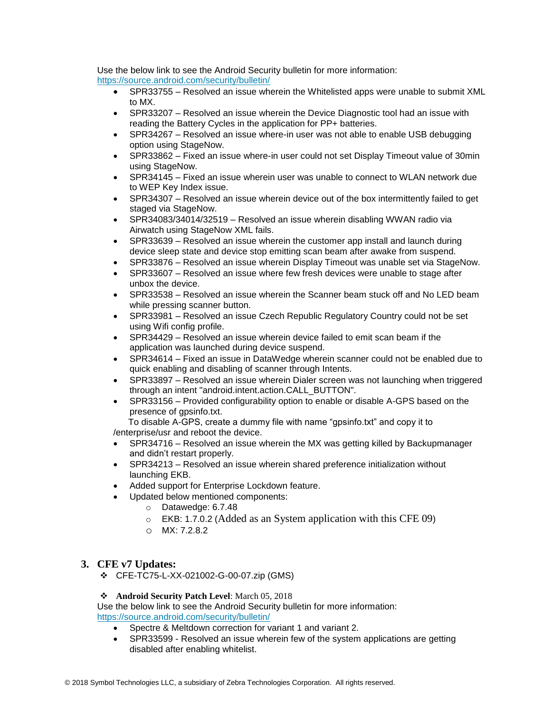Use the below link to see the Android Security bulletin for more information: <https://source.android.com/security/bulletin/>

- SPR33755 Resolved an issue wherein the Whitelisted apps were unable to submit XML to MX.
- SPR33207 Resolved an issue wherein the Device Diagnostic tool had an issue with reading the Battery Cycles in the application for PP+ batteries.
- SPR34267 Resolved an issue where-in user was not able to enable USB debugging option using StageNow.
- SPR33862 Fixed an issue where-in user could not set Display Timeout value of 30min using StageNow.
- SPR34145 Fixed an issue wherein user was unable to connect to WLAN network due to WEP Key Index issue.
- SPR34307 Resolved an issue wherein device out of the box intermittently failed to get staged via StageNow.
- SPR34083/34014/32519 Resolved an issue wherein disabling WWAN radio via Airwatch using StageNow XML fails.
- SPR33639 Resolved an issue wherein the customer app install and launch during device sleep state and device stop emitting scan beam after awake from suspend.
- SPR33876 Resolved an issue wherein Display Timeout was unable set via StageNow.
- SPR33607 Resolved an issue where few fresh devices were unable to stage after unbox the device.
- SPR33538 Resolved an issue wherein the Scanner beam stuck off and No LED beam while pressing scanner button.
- SPR33981 Resolved an issue Czech Republic Regulatory Country could not be set using Wifi config profile.
- SPR34429 Resolved an issue wherein device failed to emit scan beam if the application was launched during device suspend.
- SPR34614 Fixed an issue in DataWedge wherein scanner could not be enabled due to quick enabling and disabling of scanner through Intents.
- SPR33897 Resolved an issue wherein Dialer screen was not launching when triggered through an intent "android.intent.action.CALL\_BUTTON".
- SPR33156 Provided configurability option to enable or disable A-GPS based on the presence of gpsinfo.txt.

 To disable A-GPS, create a dummy file with name "gpsinfo.txt" and copy it to /enterprise/usr and reboot the device.

- SPR34716 Resolved an issue wherein the MX was getting killed by Backupmanager and didn't restart properly.
- SPR34213 Resolved an issue wherein shared preference initialization without launching EKB.
- Added support for Enterprise Lockdown feature.
- Updated below mentioned components:
	- o Datawedge: 6.7.48
	- o EKB: 1.7.0.2 (Added as an System application with this CFE 09)
	- o MX: 7.2.8.2

#### **3. CFE v7 Updates:**

❖ CFE-TC75-L-XX-021002-G-00-07.zip (GMS)

#### ❖ **Android Security Patch Level**: March 05, 2018

Use the below link to see the Android Security bulletin for more information: <https://source.android.com/security/bulletin/>

- Spectre & Meltdown correction for variant 1 and variant 2.
- SPR33599 Resolved an issue wherein few of the system applications are getting disabled after enabling whitelist.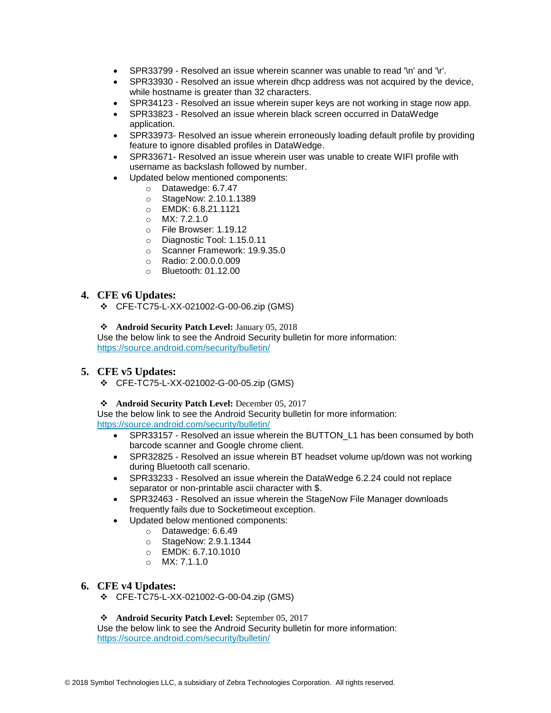- SPR33799 Resolved an issue wherein scanner was unable to read '\n' and '\r'.
- SPR33930 Resolved an issue wherein dhcp address was not acquired by the device, while hostname is greater than 32 characters.
- SPR34123 Resolved an issue wherein super keys are not working in stage now app.
- SPR33823 Resolved an issue wherein black screen occurred in DataWedge application.
- SPR33973- Resolved an issue wherein erroneously loading default profile by providing feature to ignore disabled profiles in DataWedge.
- SPR33671- Resolved an issue wherein user was unable to create WIFI profile with username as backslash followed by number.
	- Updated below mentioned components:
		- o Datawedge: 6.7.47
		- o StageNow: 2.10.1.1389
		- o EMDK: 6.8.21.1121
		- o MX: 7.2.1.0
		- o File Browser: 1.19.12
		- o Diagnostic Tool: 1.15.0.11
		- o Scanner Framework: 19.9.35.0
		- o Radio: 2.00.0.0.009
		- $\circ$  Bluetooth: 01.12.00

#### **4. CFE v6 Updates:**

❖ CFE-TC75-L-XX-021002-G-00-06.zip (GMS)

#### ❖ **Android Security Patch Level:** January 05, 2018

Use the below link to see the Android Security bulletin for more information: <https://source.android.com/security/bulletin/>

#### **5. CFE v5 Updates:**

❖ CFE-TC75-L-XX-021002-G-00-05.zip (GMS)

#### ❖ **Android Security Patch Level:** December 05, 2017

Use the below link to see the Android Security bulletin for more information: <https://source.android.com/security/bulletin/>

- SPR33157 Resolved an issue wherein the BUTTON\_L1 has been consumed by both barcode scanner and Google chrome client.
- SPR32825 Resolved an issue wherein BT headset volume up/down was not working during Bluetooth call scenario.
- SPR33233 Resolved an issue wherein the DataWedge 6.2.24 could not replace separator or non-printable ascii character with \$.
- SPR32463 Resolved an issue wherein the StageNow File Manager downloads frequently fails due to Socketimeout exception.
- Updated below mentioned components:
	- o Datawedge: 6.6.49
		- o StageNow: 2.9.1.1344
		- o EMDK: 6.7.10.1010
		- o MX: 7.1.1.0

#### **6. CFE v4 Updates:**

❖ CFE-TC75-L-XX-021002-G-00-04.zip (GMS)

#### ❖ **Android Security Patch Level:** September 05, 2017

Use the below link to see the Android Security bulletin for more information: <https://source.android.com/security/bulletin/>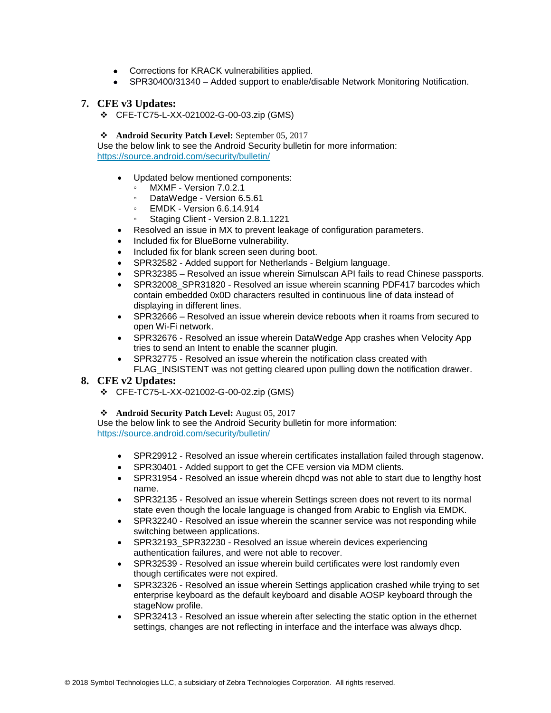- Corrections for KRACK vulnerabilities applied.
- SPR30400/31340 Added support to enable/disable Network Monitoring Notification.

#### **7. CFE v3 Updates:**

❖ CFE-TC75-L-XX-021002-G-00-03.zip (GMS)

#### ❖ **Android Security Patch Level:** September 05, 2017

Use the below link to see the Android Security bulletin for more information: <https://source.android.com/security/bulletin/>

- Updated below mentioned components:
- MXMF Version 7.0.2.1
- DataWedge Version 6.5.61
- EMDK Version 6.6.14.914
- Staging Client Version 2.8.1.1221
- Resolved an issue in MX to prevent leakage of configuration parameters.
- Included fix for BlueBorne vulnerability.
- Included fix for blank screen seen during boot.
- SPR32582 Added support for Netherlands Belgium language.
- SPR32385 Resolved an issue wherein Simulscan API fails to read Chinese passports.
- SPR32008 SPR31820 Resolved an issue wherein scanning PDF417 barcodes which contain embedded 0x0D characters resulted in continuous line of data instead of displaying in different lines.
- SPR32666 Resolved an issue wherein device reboots when it roams from secured to open Wi-Fi network.
- SPR32676 Resolved an issue wherein DataWedge App crashes when Velocity App tries to send an Intent to enable the scanner plugin.
- SPR32775 Resolved an issue wherein the notification class created with FLAG\_INSISTENT was not getting cleared upon pulling down the notification drawer.

#### **8. CFE v2 Updates:**

❖ CFE-TC75-L-XX-021002-G-00-02.zip (GMS)

#### ❖ **Android Security Patch Level:** August 05, 2017

Use the below link to see the Android Security bulletin for more information: <https://source.android.com/security/bulletin/>

- SPR29912 Resolved an issue wherein certificates installation failed through stagenow.
- SPR30401 Added support to get the CFE version via MDM clients.
- SPR31954 Resolved an issue wherein dhcpd was not able to start due to lengthy host name.
- SPR32135 Resolved an issue wherein Settings screen does not revert to its normal state even though the locale language is changed from Arabic to English via EMDK.
- SPR32240 Resolved an issue wherein the scanner service was not responding while switching between applications.
- SPR32193\_SPR32230 Resolved an issue wherein devices experiencing authentication failures, and were not able to recover.
- SPR32539 Resolved an issue wherein build certificates were lost randomly even though certificates were not expired.
- SPR32326 Resolved an issue wherein Settings application crashed while trying to set enterprise keyboard as the default keyboard and disable AOSP keyboard through the stageNow profile.
- SPR32413 Resolved an issue wherein after selecting the static option in the ethernet settings, changes are not reflecting in interface and the interface was always dhcp.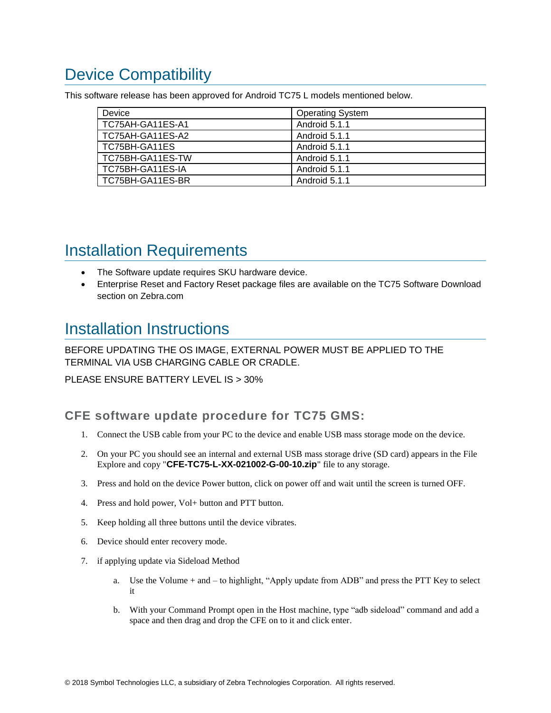# <span id="page-6-0"></span>Device Compatibility

This software release has been approved for Android TC75 L models mentioned below.

| Device           | <b>Operating System</b> |
|------------------|-------------------------|
| TC75AH-GA11ES-A1 | Android 5.1.1           |
| TC75AH-GA11ES-A2 | Android 5.1.1           |
| TC75BH-GA11ES    | Android 5.1.1           |
| TC75BH-GA11ES-TW | Android 5.1.1           |
| TC75BH-GA11ES-IA | Android 5.1.1           |
| TC75BH-GA11ES-BR | Android 5.1.1           |

## <span id="page-6-2"></span><span id="page-6-1"></span>Installation Requirements

- The Software update requires SKU hardware device.
- Enterprise Reset and Factory Reset package files are available on the TC75 Software Download section on Zebra.com

### <span id="page-6-3"></span>Installation Instructions

BEFORE UPDATING THE OS IMAGE, EXTERNAL POWER MUST BE APPLIED TO THE TERMINAL VIA USB CHARGING CABLE OR CRADLE.

PLEASE ENSURE BATTERY LEVEL IS > 30%

CFE software update procedure for TC75 GMS:

- 1. Connect the USB cable from your PC to the device and enable USB mass storage mode on the device.
- 2. On your PC you should see an internal and external USB mass storage drive (SD card) appears in the File Explore and copy "**CFE-TC75-L-XX-021002-G-00-10.zip**" file to any storage.
- 3. Press and hold on the device Power button, click on power off and wait until the screen is turned OFF.
- 4. Press and hold power, Vol+ button and PTT button.
- 5. Keep holding all three buttons until the device vibrates.
- 6. Device should enter recovery mode.
- 7. if applying update via Sideload Method
	- a. Use the Volume + and to highlight, "Apply update from ADB" and press the PTT Key to select it
	- b. With your Command Prompt open in the Host machine, type "adb sideload" command and add a space and then drag and drop the CFE on to it and click enter.